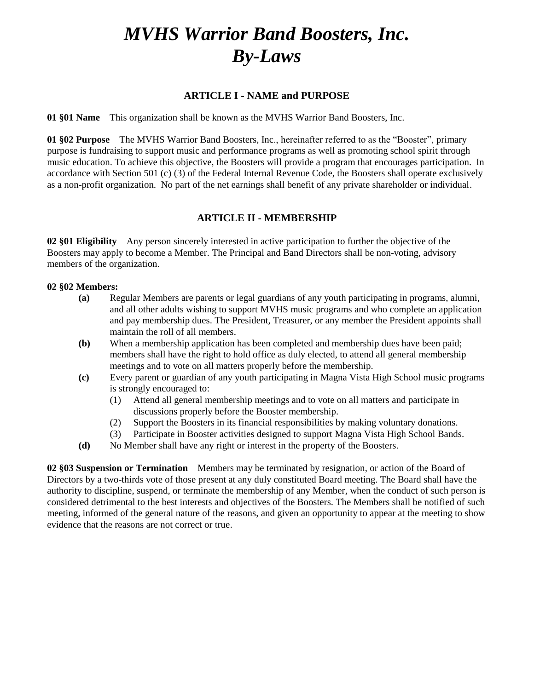# *MVHS Warrior Band Boosters, Inc. By-Laws*

## **ARTICLE I - NAME and PURPOSE**

**01 §01 Name** This organization shall be known as the MVHS Warrior Band Boosters, Inc.

**01 §02 Purpose** The MVHS Warrior Band Boosters, Inc., hereinafter referred to as the "Booster", primary purpose is fundraising to support music and performance programs as well as promoting school spirit through music education. To achieve this objective, the Boosters will provide a program that encourages participation. In accordance with Section 501 (c) (3) of the Federal Internal Revenue Code, the Boosters shall operate exclusively as a non-profit organization. No part of the net earnings shall benefit of any private shareholder or individual.

## **ARTICLE II - MEMBERSHIP**

**02 §01 Eligibility** Any person sincerely interested in active participation to further the objective of the Boosters may apply to become a Member. The Principal and Band Directors shall be non-voting, advisory members of the organization.

#### **02 §02 Members:**

- **(a)** Regular Members are parents or legal guardians of any youth participating in programs, alumni, and all other adults wishing to support MVHS music programs and who complete an application and pay membership dues. The President, Treasurer, or any member the President appoints shall maintain the roll of all members.
- **(b)** When a membership application has been completed and membership dues have been paid; members shall have the right to hold office as duly elected, to attend all general membership meetings and to vote on all matters properly before the membership.
- **(c)** Every parent or guardian of any youth participating in Magna Vista High School music programs is strongly encouraged to:
	- (1) Attend all general membership meetings and to vote on all matters and participate in discussions properly before the Booster membership.
	- (2) Support the Boosters in its financial responsibilities by making voluntary donations.
	- (3) Participate in Booster activities designed to support Magna Vista High School Bands.
- **(d)** No Member shall have any right or interest in the property of the Boosters.

**02 §03 Suspension or Termination** Members may be terminated by resignation, or action of the Board of Directors by a two-thirds vote of those present at any duly constituted Board meeting. The Board shall have the authority to discipline, suspend, or terminate the membership of any Member, when the conduct of such person is considered detrimental to the best interests and objectives of the Boosters. The Members shall be notified of such meeting, informed of the general nature of the reasons, and given an opportunity to appear at the meeting to show evidence that the reasons are not correct or true.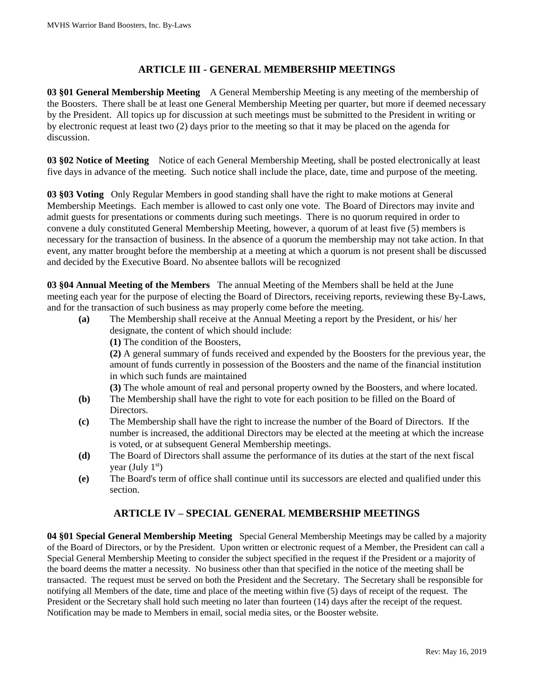# **ARTICLE III - GENERAL MEMBERSHIP MEETINGS**

**03 §01 General Membership Meeting** A General Membership Meeting is any meeting of the membership of the Boosters. There shall be at least one General Membership Meeting per quarter, but more if deemed necessary by the President. All topics up for discussion at such meetings must be submitted to the President in writing or by electronic request at least two (2) days prior to the meeting so that it may be placed on the agenda for discussion.

**03 §02 Notice of Meeting** Notice of each General Membership Meeting, shall be posted electronically at least five days in advance of the meeting. Such notice shall include the place, date, time and purpose of the meeting.

**03 §03 Voting** Only Regular Members in good standing shall have the right to make motions at General Membership Meetings. Each member is allowed to cast only one vote. The Board of Directors may invite and admit guests for presentations or comments during such meetings. There is no quorum required in order to convene a duly constituted General Membership Meeting, however, a quorum of at least five (5) members is necessary for the transaction of business. In the absence of a quorum the membership may not take action. In that event, any matter brought before the membership at a meeting at which a quorum is not present shall be discussed and decided by the Executive Board. No absentee ballots will be recognized

**03 §04 Annual Meeting of the Members** The annual Meeting of the Members shall be held at the June meeting each year for the purpose of electing the Board of Directors, receiving reports, reviewing these By-Laws, and for the transaction of such business as may properly come before the meeting.

**(a)** The Membership shall receive at the Annual Meeting a report by the President, or his/ her designate, the content of which should include:

**(1)** The condition of the Boosters,

**(2)** A general summary of funds received and expended by the Boosters for the previous year, the amount of funds currently in possession of the Boosters and the name of the financial institution in which such funds are maintained

**(3)** The whole amount of real and personal property owned by the Boosters, and where located.

- **(b)** The Membership shall have the right to vote for each position to be filled on the Board of Directors.
- **(c)** The Membership shall have the right to increase the number of the Board of Directors. If the number is increased, the additional Directors may be elected at the meeting at which the increase is voted, or at subsequent General Membership meetings.
- **(d)** The Board of Directors shall assume the performance of its duties at the start of the next fiscal vear (July  $1<sup>st</sup>$ )
- **(e)** The Board's term of office shall continue until its successors are elected and qualified under this section.

# **ARTICLE IV – SPECIAL GENERAL MEMBERSHIP MEETINGS**

**04 §01 Special General Membership Meeting** Special General Membership Meetings may be called by a majority of the Board of Directors, or by the President. Upon written or electronic request of a Member, the President can call a Special General Membership Meeting to consider the subject specified in the request if the President or a majority of the board deems the matter a necessity. No business other than that specified in the notice of the meeting shall be transacted. The request must be served on both the President and the Secretary. The Secretary shall be responsible for notifying all Members of the date, time and place of the meeting within five (5) days of receipt of the request. The President or the Secretary shall hold such meeting no later than fourteen (14) days after the receipt of the request. Notification may be made to Members in email, social media sites, or the Booster website.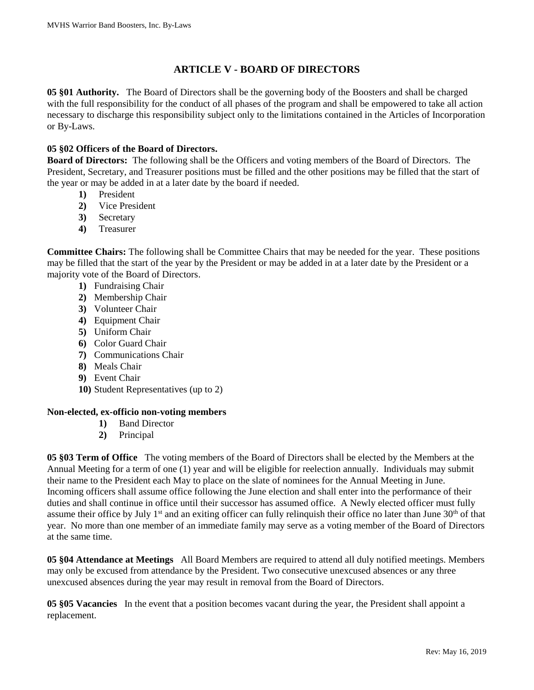# **ARTICLE V - BOARD OF DIRECTORS**

**05 §01 Authority.** The Board of Directors shall be the governing body of the Boosters and shall be charged with the full responsibility for the conduct of all phases of the program and shall be empowered to take all action necessary to discharge this responsibility subject only to the limitations contained in the Articles of Incorporation or By-Laws.

## **05 §02 Officers of the Board of Directors.**

**Board of Directors:** The following shall be the Officers and voting members of the Board of Directors. The President, Secretary, and Treasurer positions must be filled and the other positions may be filled that the start of the year or may be added in at a later date by the board if needed.

- **1)** President
- **2)** Vice President
- **3)** Secretary
- **4)** Treasurer

**Committee Chairs:** The following shall be Committee Chairs that may be needed for the year. These positions may be filled that the start of the year by the President or may be added in at a later date by the President or a majority vote of the Board of Directors.

- **1)** Fundraising Chair
- **2)** Membership Chair
- **3)** Volunteer Chair
- **4)** Equipment Chair
- **5)** Uniform Chair
- **6)** Color Guard Chair
- **7)** Communications Chair
- **8)** Meals Chair
- **9)** Event Chair
- **10)** Student Representatives (up to 2)

#### **Non-elected, ex-officio non-voting members**

- **1)** Band Director
- **2)** Principal

**05 §03 Term of Office** The voting members of the Board of Directors shall be elected by the Members at the Annual Meeting for a term of one (1) year and will be eligible for reelection annually. Individuals may submit their name to the President each May to place on the slate of nominees for the Annual Meeting in June. Incoming officers shall assume office following the June election and shall enter into the performance of their duties and shall continue in office until their successor has assumed office. A Newly elected officer must fully assume their office by July  $1<sup>st</sup>$  and an exiting officer can fully relinquish their office no later than June  $30<sup>th</sup>$  of that year. No more than one member of an immediate family may serve as a voting member of the Board of Directors at the same time.

**05 §04 Attendance at Meetings** All Board Members are required to attend all duly notified meetings. Members may only be excused from attendance by the President. Two consecutive unexcused absences or any three unexcused absences during the year may result in removal from the Board of Directors.

**05 §05 Vacancies** In the event that a position becomes vacant during the year, the President shall appoint a replacement.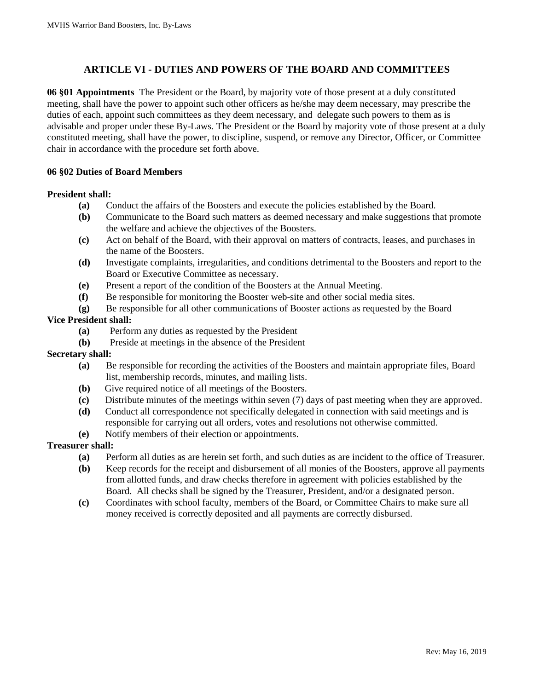## **ARTICLE VI - DUTIES AND POWERS OF THE BOARD AND COMMITTEES**

**06 §01 Appointments** The President or the Board, by majority vote of those present at a duly constituted meeting, shall have the power to appoint such other officers as he/she may deem necessary, may prescribe the duties of each, appoint such committees as they deem necessary, and delegate such powers to them as is advisable and proper under these By-Laws. The President or the Board by majority vote of those present at a duly constituted meeting, shall have the power, to discipline, suspend, or remove any Director, Officer, or Committee chair in accordance with the procedure set forth above.

#### **06 §02 Duties of Board Members**

## **President shall:**

- **(a)** Conduct the affairs of the Boosters and execute the policies established by the Board.
- **(b)** Communicate to the Board such matters as deemed necessary and make suggestions that promote the welfare and achieve the objectives of the Boosters.
- **(c)** Act on behalf of the Board, with their approval on matters of contracts, leases, and purchases in the name of the Boosters.
- **(d)** Investigate complaints, irregularities, and conditions detrimental to the Boosters and report to the Board or Executive Committee as necessary.
- **(e)** Present a report of the condition of the Boosters at the Annual Meeting.
- **(f)** Be responsible for monitoring the Booster web-site and other social media sites.
- **(g)** Be responsible for all other communications of Booster actions as requested by the Board

#### **Vice President shall:**

**(a)** Perform any duties as requested by the President

**(b)** Preside at meetings in the absence of the President

#### **Secretary shall:**

- **(a)** Be responsible for recording the activities of the Boosters and maintain appropriate files, Board list, membership records, minutes, and mailing lists.
- **(b)** Give required notice of all meetings of the Boosters.
- **(c)** Distribute minutes of the meetings within seven (7) days of past meeting when they are approved.
- **(d)** Conduct all correspondence not specifically delegated in connection with said meetings and is responsible for carrying out all orders, votes and resolutions not otherwise committed.
- **(e)** Notify members of their election or appointments.

#### **Treasurer shall:**

- **(a)** Perform all duties as are herein set forth, and such duties as are incident to the office of Treasurer.
- **(b)** Keep records for the receipt and disbursement of all monies of the Boosters, approve all payments from allotted funds, and draw checks therefore in agreement with policies established by the Board. All checks shall be signed by the Treasurer, President, and/or a designated person.
- **(c)** Coordinates with school faculty, members of the Board, or Committee Chairs to make sure all money received is correctly deposited and all payments are correctly disbursed.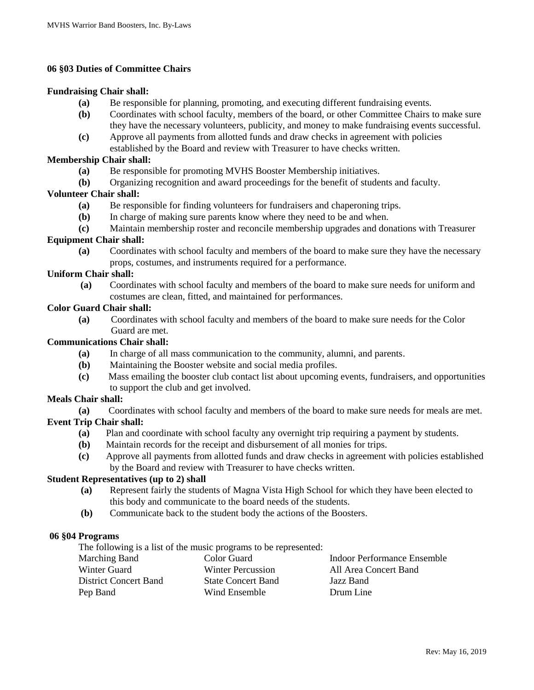#### **06 §03 Duties of Committee Chairs**

#### **Fundraising Chair shall:**

- **(a)** Be responsible for planning, promoting, and executing different fundraising events.
- **(b)** Coordinates with school faculty, members of the board, or other Committee Chairs to make sure they have the necessary volunteers, publicity, and money to make fundraising events successful.
- **(c)** Approve all payments from allotted funds and draw checks in agreement with policies established by the Board and review with Treasurer to have checks written.

#### **Membership Chair shall:**

- **(a)** Be responsible for promoting MVHS Booster Membership initiatives.
- **(b)** Organizing recognition and award proceedings for the benefit of students and faculty.

#### **Volunteer Chair shall:**

- **(a)** Be responsible for finding volunteers for fundraisers and chaperoning trips.
- **(b)** In charge of making sure parents know where they need to be and when.
- **(c)** Maintain membership roster and reconcile membership upgrades and donations with Treasurer

#### **Equipment Chair shall:**

**(a)** Coordinates with school faculty and members of the board to make sure they have the necessary props, costumes, and instruments required for a performance.

#### **Uniform Chair shall:**

**(a)** Coordinates with school faculty and members of the board to make sure needs for uniform and costumes are clean, fitted, and maintained for performances.

#### **Color Guard Chair shall:**

**(a)** Coordinates with school faculty and members of the board to make sure needs for the Color Guard are met.

#### **Communications Chair shall:**

- **(a)** In charge of all mass communication to the community, alumni, and parents.
- **(b)** Maintaining the Booster website and social media profiles.
- **(c)** Mass emailing the booster club contact list about upcoming events, fundraisers, and opportunities to support the club and get involved.

#### **Meals Chair shall:**

**(a)** Coordinates with school faculty and members of the board to make sure needs for meals are met.

## **Event Trip Chair shall:**

- **(a)** Plan and coordinate with school faculty any overnight trip requiring a payment by students.
- **(b)** Maintain records for the receipt and disbursement of all monies for trips.
- **(c)** Approve all payments from allotted funds and draw checks in agreement with policies established by the Board and review with Treasurer to have checks written.

#### **Student Representatives (up to 2) shall**

- **(a)** Represent fairly the students of Magna Vista High School for which they have been elected to this body and communicate to the board needs of the students.
- **(b)** Communicate back to the student body the actions of the Boosters.

#### **06 §04 Programs**

The following is a list of the music programs to be represented:

| Marching Band         | Color Guard               | Indoor Performance Ensemble |
|-----------------------|---------------------------|-----------------------------|
| Winter Guard          | Winter Percussion         | All Area Concert Band       |
| District Concert Band | <b>State Concert Band</b> | Jazz Band                   |
| Pep Band              | Wind Ensemble             | Drum Line                   |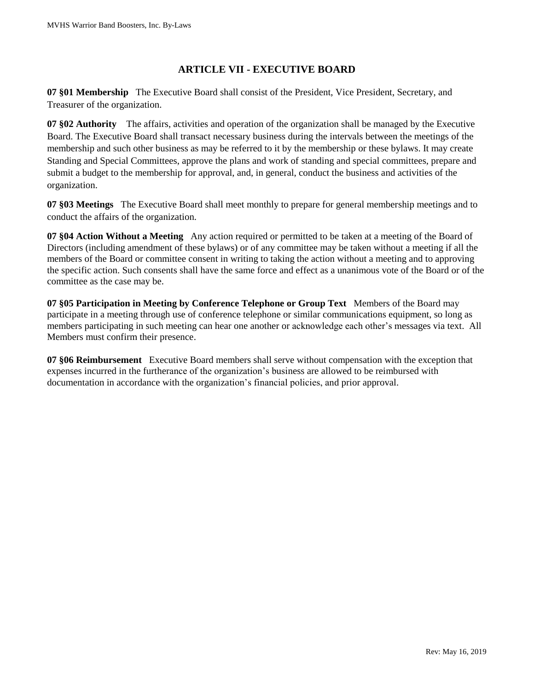# **ARTICLE VII - EXECUTIVE BOARD**

**07 §01 Membership** The Executive Board shall consist of the President, Vice President, Secretary, and Treasurer of the organization.

**07 §02 Authority** The affairs, activities and operation of the organization shall be managed by the Executive Board. The Executive Board shall transact necessary business during the intervals between the meetings of the membership and such other business as may be referred to it by the membership or these bylaws. It may create Standing and Special Committees, approve the plans and work of standing and special committees, prepare and submit a budget to the membership for approval, and, in general, conduct the business and activities of the organization.

**07 §03 Meetings** The Executive Board shall meet monthly to prepare for general membership meetings and to conduct the affairs of the organization.

**07 §04 Action Without a Meeting** Any action required or permitted to be taken at a meeting of the Board of Directors (including amendment of these bylaws) or of any committee may be taken without a meeting if all the members of the Board or committee consent in writing to taking the action without a meeting and to approving the specific action. Such consents shall have the same force and effect as a unanimous vote of the Board or of the committee as the case may be.

**07 §05 Participation in Meeting by Conference Telephone or Group Text** Members of the Board may participate in a meeting through use of conference telephone or similar communications equipment, so long as members participating in such meeting can hear one another or acknowledge each other's messages via text. All Members must confirm their presence.

**07 §06 Reimbursement** Executive Board members shall serve without compensation with the exception that expenses incurred in the furtherance of the organization's business are allowed to be reimbursed with documentation in accordance with the organization's financial policies, and prior approval.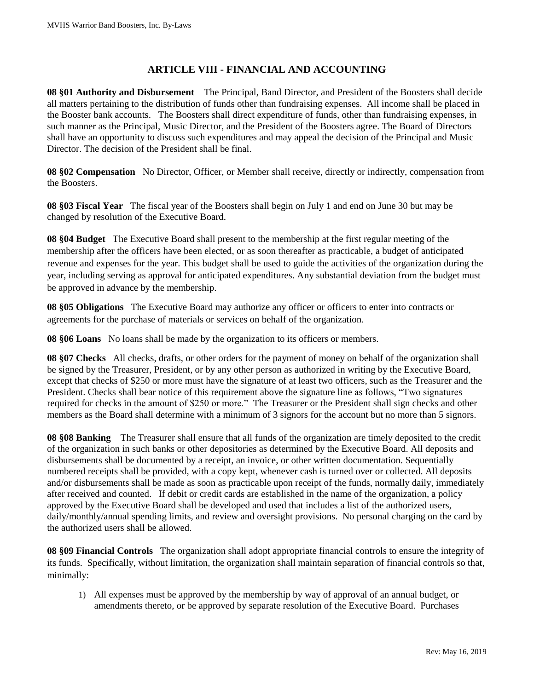# **ARTICLE VIII - FINANCIAL AND ACCOUNTING**

**08 §01 Authority and Disbursement** The Principal, Band Director, and President of the Boosters shall decide all matters pertaining to the distribution of funds other than fundraising expenses. All income shall be placed in the Booster bank accounts. The Boosters shall direct expenditure of funds, other than fundraising expenses, in such manner as the Principal, Music Director, and the President of the Boosters agree. The Board of Directors shall have an opportunity to discuss such expenditures and may appeal the decision of the Principal and Music Director. The decision of the President shall be final.

**08 §02 Compensation** No Director, Officer, or Member shall receive, directly or indirectly, compensation from the Boosters.

**08 §03 Fiscal Year** The fiscal year of the Boosters shall begin on July 1 and end on June 30 but may be changed by resolution of the Executive Board.

**08 §04 Budget** The Executive Board shall present to the membership at the first regular meeting of the membership after the officers have been elected, or as soon thereafter as practicable, a budget of anticipated revenue and expenses for the year. This budget shall be used to guide the activities of the organization during the year, including serving as approval for anticipated expenditures. Any substantial deviation from the budget must be approved in advance by the membership.

**08 §05 Obligations** The Executive Board may authorize any officer or officers to enter into contracts or agreements for the purchase of materials or services on behalf of the organization.

**08 §06 Loans** No loans shall be made by the organization to its officers or members.

**08 §07 Checks** All checks, drafts, or other orders for the payment of money on behalf of the organization shall be signed by the Treasurer, President, or by any other person as authorized in writing by the Executive Board, except that checks of \$250 or more must have the signature of at least two officers, such as the Treasurer and the President. Checks shall bear notice of this requirement above the signature line as follows, "Two signatures required for checks in the amount of \$250 or more." The Treasurer or the President shall sign checks and other members as the Board shall determine with a minimum of 3 signors for the account but no more than 5 signors.

**08 §08 Banking** The Treasurer shall ensure that all funds of the organization are timely deposited to the credit of the organization in such banks or other depositories as determined by the Executive Board. All deposits and disbursements shall be documented by a receipt, an invoice, or other written documentation. Sequentially numbered receipts shall be provided, with a copy kept, whenever cash is turned over or collected. All deposits and/or disbursements shall be made as soon as practicable upon receipt of the funds, normally daily, immediately after received and counted. If debit or credit cards are established in the name of the organization, a policy approved by the Executive Board shall be developed and used that includes a list of the authorized users, daily/monthly/annual spending limits, and review and oversight provisions. No personal charging on the card by the authorized users shall be allowed.

**08 §09 Financial Controls** The organization shall adopt appropriate financial controls to ensure the integrity of its funds. Specifically, without limitation, the organization shall maintain separation of financial controls so that, minimally:

1) All expenses must be approved by the membership by way of approval of an annual budget, or amendments thereto, or be approved by separate resolution of the Executive Board. Purchases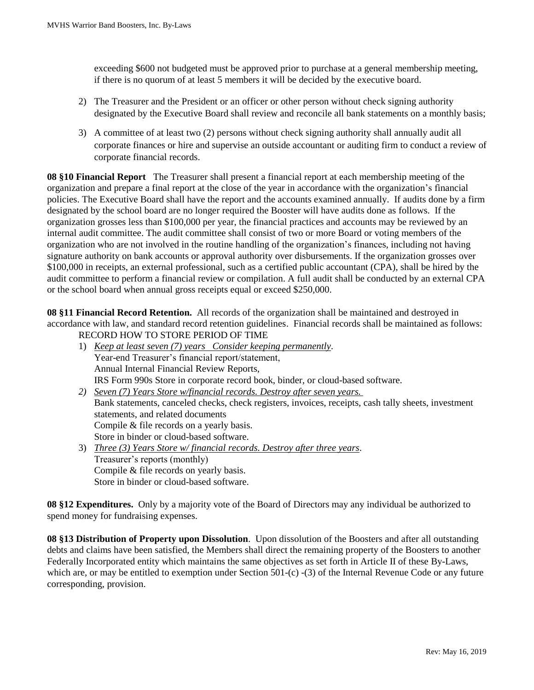exceeding \$600 not budgeted must be approved prior to purchase at a general membership meeting, if there is no quorum of at least 5 members it will be decided by the executive board.

- 2) The Treasurer and the President or an officer or other person without check signing authority designated by the Executive Board shall review and reconcile all bank statements on a monthly basis;
- 3) A committee of at least two (2) persons without check signing authority shall annually audit all corporate finances or hire and supervise an outside accountant or auditing firm to conduct a review of corporate financial records.

**08 §10 Financial Report** The Treasurer shall present a financial report at each membership meeting of the organization and prepare a final report at the close of the year in accordance with the organization's financial policies. The Executive Board shall have the report and the accounts examined annually. If audits done by a firm designated by the school board are no longer required the Booster will have audits done as follows. If the organization grosses less than \$100,000 per year, the financial practices and accounts may be reviewed by an internal audit committee. The audit committee shall consist of two or more Board or voting members of the organization who are not involved in the routine handling of the organization's finances, including not having signature authority on bank accounts or approval authority over disbursements. If the organization grosses over \$100,000 in receipts, an external professional, such as a certified public accountant (CPA), shall be hired by the audit committee to perform a financial review or compilation. A full audit shall be conducted by an external CPA or the school board when annual gross receipts equal or exceed \$250,000.

**08 §11 Financial Record Retention.** All records of the organization shall be maintained and destroyed in accordance with law, and standard record retention guidelines. Financial records shall be maintained as follows:

RECORD HOW TO STORE PERIOD OF TIME

- 1) *Keep at least seven (7) years Consider keeping permanently*. Year-end Treasurer's financial report/statement, Annual Internal Financial Review Reports, IRS Form 990s Store in corporate record book, binder, or cloud-based software.
- *2) Seven (7) Years Store w/financial records. Destroy after seven years.*  Bank statements, canceled checks, check registers, invoices, receipts, cash tally sheets, investment statements, and related documents Compile & file records on a yearly basis. Store in binder or cloud-based software.
- 3) *Three (3) Years Store w/ financial records. Destroy after three years*. Treasurer's reports (monthly) Compile & file records on yearly basis. Store in binder or cloud-based software.

**08 §12 Expenditures.** Only by a majority vote of the Board of Directors may any individual be authorized to spend money for fundraising expenses.

**08 §13 Distribution of Property upon Dissolution**. Upon dissolution of the Boosters and after all outstanding debts and claims have been satisfied, the Members shall direct the remaining property of the Boosters to another Federally Incorporated entity which maintains the same objectives as set forth in Article II of these By-Laws, which are, or may be entitled to exemption under Section 501-(c) -(3) of the Internal Revenue Code or any future corresponding, provision.